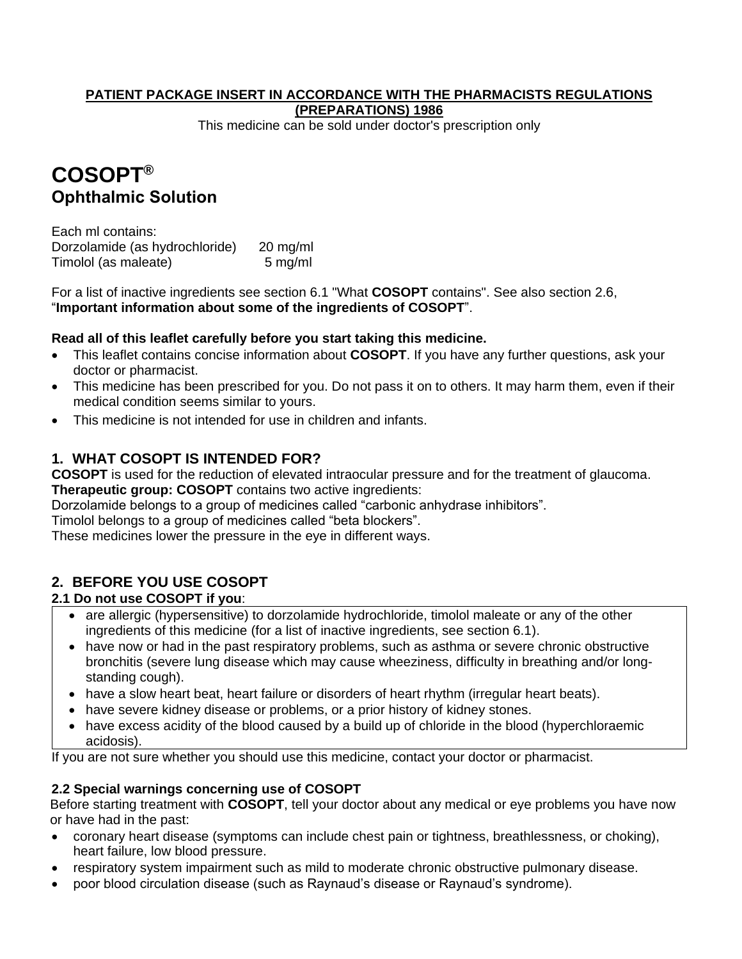#### **PATIENT PACKAGE INSERT IN ACCORDANCE WITH THE PHARMACISTS REGULATIONS (PREPARATIONS) 1986**

This medicine can be sold under doctor's prescription only

# **COSOPT® Ophthalmic Solution**

Each ml contains: Dorzolamide (as hydrochloride) 20 mg/ml Timolol (as maleate) 5 mg/ml

For a list of inactive ingredients see section 6.1 "What **COSOPT** contains". See also section 2.6, "**Important information about some of the ingredients of COSOPT**".

# **Read all of this leaflet carefully before you start taking this medicine.**

- This leaflet contains concise information about **COSOPT**. If you have any further questions, ask your doctor or pharmacist.
- This medicine has been prescribed for you. Do not pass it on to others. It may harm them, even if their medical condition seems similar to yours.
- This medicine is not intended for use in children and infants.

# **1. WHAT COSOPT IS INTENDED FOR?**

**COSOPT** is used for the reduction of elevated intraocular pressure and for the treatment of glaucoma.

**Therapeutic group: COSOPT** contains two active ingredients:

Dorzolamide belongs to a group of medicines called "carbonic anhydrase inhibitors".

Timolol belongs to a group of medicines called "beta blockers".

These medicines lower the pressure in the eye in different ways.

# **2. BEFORE YOU USE COSOPT**

# **2.1 Do not use COSOPT if you**:

- are allergic (hypersensitive) to dorzolamide hydrochloride, timolol maleate or any of the other ingredients of this medicine (for a list of inactive ingredients, see section 6.1).
- have now or had in the past respiratory problems, such as asthma or severe chronic obstructive bronchitis (severe lung disease which may cause wheeziness, difficulty in breathing and/or longstanding cough).
- have a slow heart beat, heart failure or disorders of heart rhythm (irregular heart beats).
- have severe kidney disease or problems, or a prior history of kidney stones.
- have excess acidity of the blood caused by a build up of chloride in the blood (hyperchloraemic acidosis).

If you are not sure whether you should use this medicine, contact your doctor or pharmacist.

# **2.2 Special warnings concerning use of COSOPT**

Before starting treatment with **COSOPT**, tell your doctor about any medical or eye problems you have now or have had in the past:

- coronary heart disease (symptoms can include chest pain or tightness, breathlessness, or choking), heart failure, low blood pressure.
- respiratory system impairment such as mild to moderate chronic obstructive pulmonary disease.
- poor blood circulation disease (such as Raynaud's disease or Raynaud's syndrome).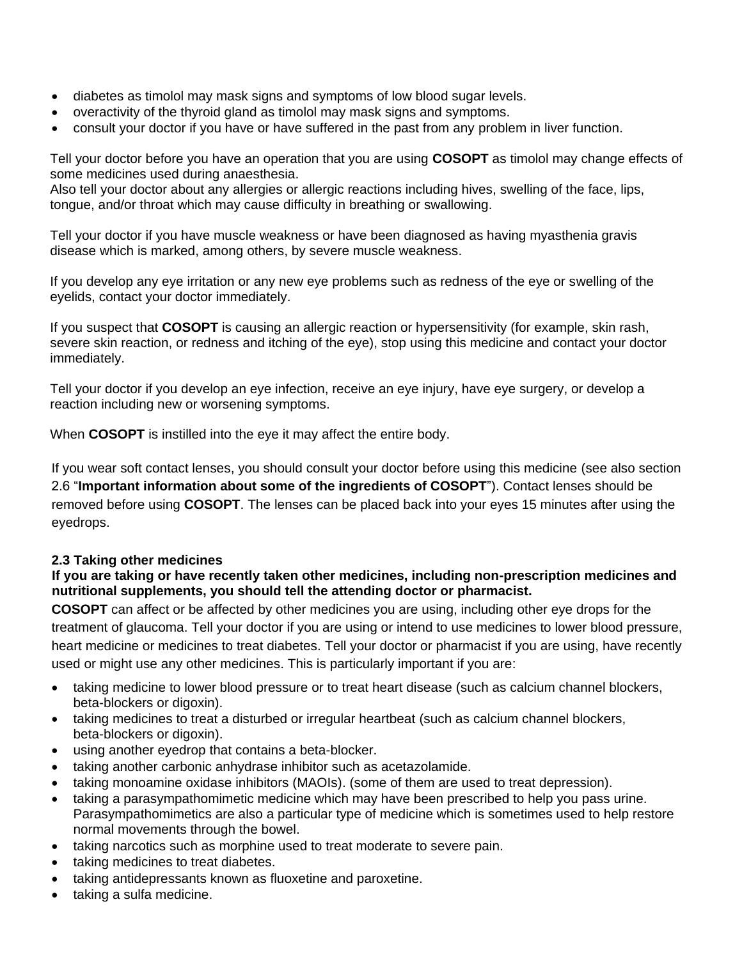- diabetes as timolol may mask signs and symptoms of low blood sugar levels.
- overactivity of the thyroid gland as timolol may mask signs and symptoms.
- consult your doctor if you have or have suffered in the past from any problem in liver function.

Tell your doctor before you have an operation that you are using **COSOPT** as timolol may change effects of some medicines used during anaesthesia.

Also tell your doctor about any allergies or allergic reactions including hives, swelling of the face, lips, tongue, and/or throat which may cause difficulty in breathing or swallowing.

Tell your doctor if you have muscle weakness or have been diagnosed as having myasthenia gravis disease which is marked, among others, by severe muscle weakness.

If you develop any eye irritation or any new eye problems such as redness of the eye or swelling of the eyelids, contact your doctor immediately.

If you suspect that **COSOPT** is causing an allergic reaction or hypersensitivity (for example, skin rash, severe skin reaction, or redness and itching of the eye), stop using this medicine and contact your doctor immediately.

Tell your doctor if you develop an eye infection, receive an eye injury, have eye surgery, or develop a reaction including new or worsening symptoms.

When **COSOPT** is instilled into the eye it may affect the entire body.

If you wear soft contact lenses, you should consult your doctor before using this medicine (see also section 2.6 "**Important information about some of the ingredients of COSOPT**"). Contact lenses should be removed before using **COSOPT**. The lenses can be placed back into your eyes 15 minutes after using the eyedrops.

#### **2.3 Taking other medicines**

#### **If you are taking or have recently taken other medicines, including non-prescription medicines and nutritional supplements, you should tell the attending doctor or pharmacist.**

**COSOPT** can affect or be affected by other medicines you are using, including other eye drops for the treatment of glaucoma. Tell your doctor if you are using or intend to use medicines to lower blood pressure, heart medicine or medicines to treat diabetes. Tell your doctor or pharmacist if you are using, have recently used or might use any other medicines. This is particularly important if you are:

- taking medicine to lower blood pressure or to treat heart disease (such as calcium channel blockers, beta-blockers or digoxin).
- taking medicines to treat a disturbed or irregular heartbeat (such as calcium channel blockers, beta-blockers or digoxin).
- using another eyedrop that contains a beta-blocker.
- taking another carbonic anhydrase inhibitor such as acetazolamide.
- taking monoamine oxidase inhibitors (MAOIs). (some of them are used to treat depression).
- taking a parasympathomimetic medicine which may have been prescribed to help you pass urine. Parasympathomimetics are also a particular type of medicine which is sometimes used to help restore normal movements through the bowel.
- taking narcotics such as morphine used to treat moderate to severe pain.
- taking medicines to treat diabetes.
- taking antidepressants known as fluoxetine and paroxetine.
- taking a sulfa medicine.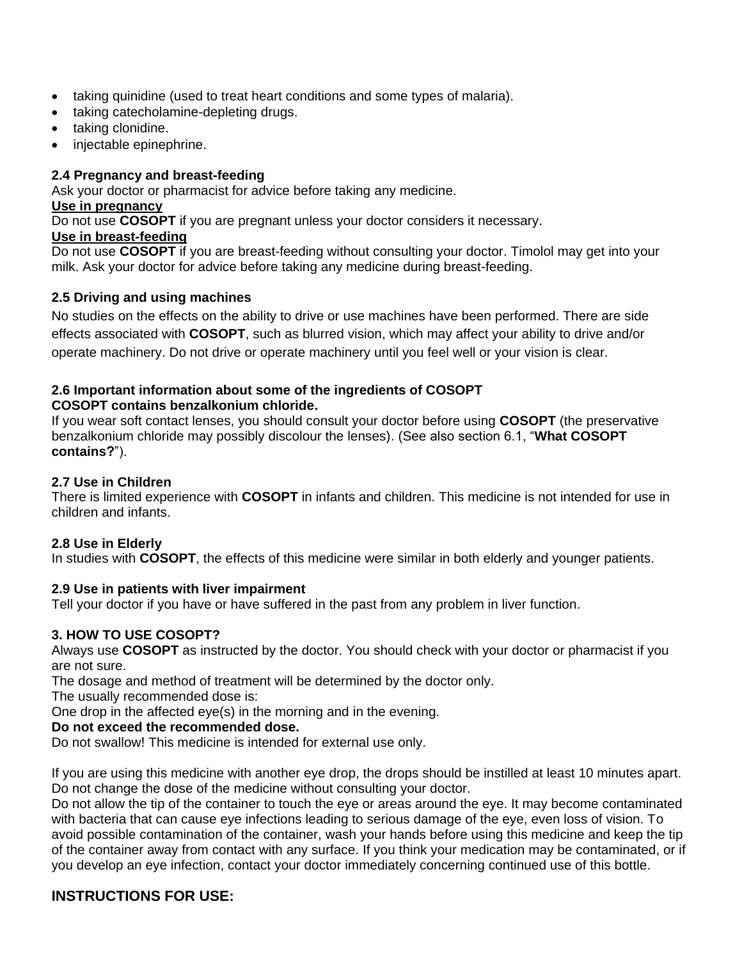- taking quinidine (used to treat heart conditions and some types of malaria).
- taking catecholamine-depleting drugs.
- taking clonidine.
- injectable epinephrine.

## **2.4 Pregnancy and breast-feeding**

Ask your doctor or pharmacist for advice before taking any medicine.

#### **Use in pregnancy**

Do not use **COSOPT** if you are pregnant unless your doctor considers it necessary.

## **Use in breast-feeding**

Do not use **COSOPT** if you are breast-feeding without consulting your doctor. Timolol may get into your milk. Ask your doctor for advice before taking any medicine during breast-feeding.

# **2.5 Driving and using machines**

No studies on the effects on the ability to drive or use machines have been performed. There are side effects associated with **COSOPT**, such as blurred vision, which may affect your ability to drive and/or operate machinery. Do not drive or operate machinery until you feel well or your vision is clear.

## **2.6 Important information about some of the ingredients of COSOPT COSOPT contains benzalkonium chloride.**

If you wear soft contact lenses, you should consult your doctor before using **COSOPT** (the preservative benzalkonium chloride may possibly discolour the lenses). (See also section 6.1, "**What COSOPT contains?**").

## **2.7 Use in Children**

There is limited experience with **COSOPT** in infants and children. This medicine is not intended for use in children and infants.

# **2.8 Use in Elderly**

In studies with **COSOPT**, the effects of this medicine were similar in both elderly and younger patients.

# **2.9 Use in patients with liver impairment**

Tell your doctor if you have or have suffered in the past from any problem in liver function.

# **3. HOW TO USE COSOPT?**

Always use **COSOPT** as instructed by the doctor. You should check with your doctor or pharmacist if you are not sure.

The dosage and method of treatment will be determined by the doctor only.

The usually recommended dose is:

One drop in the affected eye(s) in the morning and in the evening.

# **Do not exceed the recommended dose.**

Do not swallow! This medicine is intended for external use only.

If you are using this medicine with another eye drop, the drops should be instilled at least 10 minutes apart. Do not change the dose of the medicine without consulting your doctor.

Do not allow the tip of the container to touch the eye or areas around the eye. It may become contaminated with bacteria that can cause eye infections leading to serious damage of the eye, even loss of vision. To avoid possible contamination of the container, wash your hands before using this medicine and keep the tip of the container away from contact with any surface. If you think your medication may be contaminated, or if you develop an eye infection, contact your doctor immediately concerning continued use of this bottle.

# **INSTRUCTIONS FOR USE:**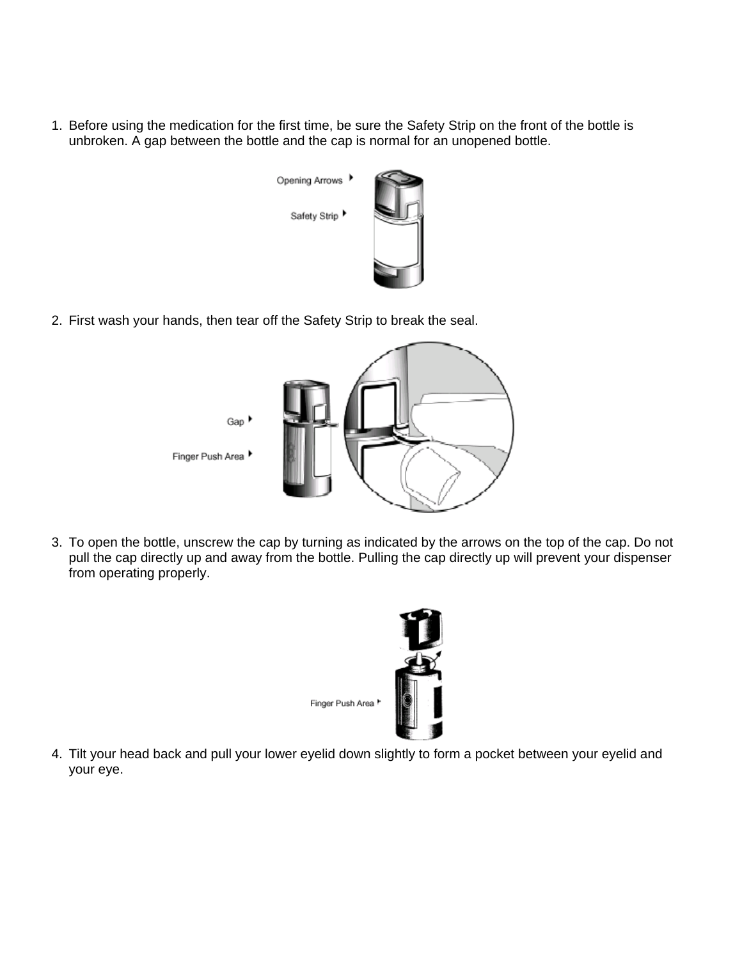1. Before using the medication for the first time, be sure the Safety Strip on the front of the bottle is unbroken. A gap between the bottle and the cap is normal for an unopened bottle.



2. First wash your hands, then tear off the Safety Strip to break the seal.



3. To open the bottle, unscrew the cap by turning as indicated by the arrows on the top of the cap. Do not pull the cap directly up and away from the bottle. Pulling the cap directly up will prevent your dispenser from operating properly.



4. Tilt your head back and pull your lower eyelid down slightly to form a pocket between your eyelid and your eye.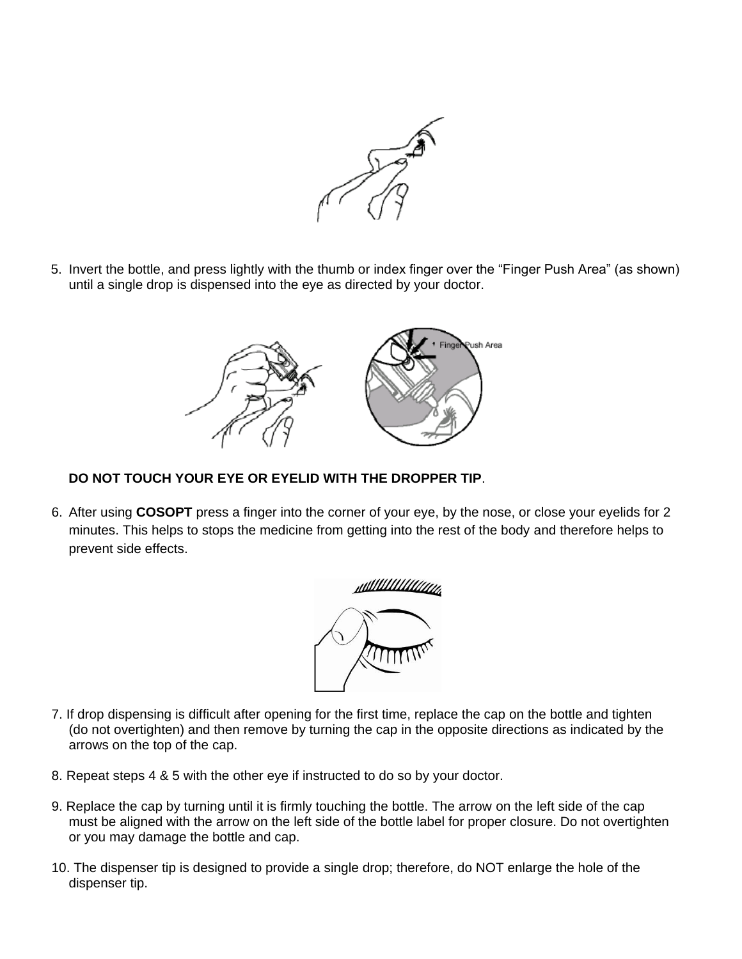

5. Invert the bottle, and press lightly with the thumb or index finger over the "Finger Push Area" (as shown) until a single drop is dispensed into the eye as directed by your doctor.



# **DO NOT TOUCH YOUR EYE OR EYELID WITH THE DROPPER TIP**.

6. After using **COSOPT** press a finger into the corner of your eye, by the nose, or close your eyelids for 2 minutes. This helps to stops the medicine from getting into the rest of the body and therefore helps to prevent side effects.



- 7. If drop dispensing is difficult after opening for the first time, replace the cap on the bottle and tighten (do not overtighten) and then remove by turning the cap in the opposite directions as indicated by the arrows on the top of the cap.
- 8. Repeat steps 4 & 5 with the other eye if instructed to do so by your doctor.
- 9. Replace the cap by turning until it is firmly touching the bottle. The arrow on the left side of the cap must be aligned with the arrow on the left side of the bottle label for proper closure. Do not overtighten or you may damage the bottle and cap.
- 10. The dispenser tip is designed to provide a single drop; therefore, do NOT enlarge the hole of the dispenser tip.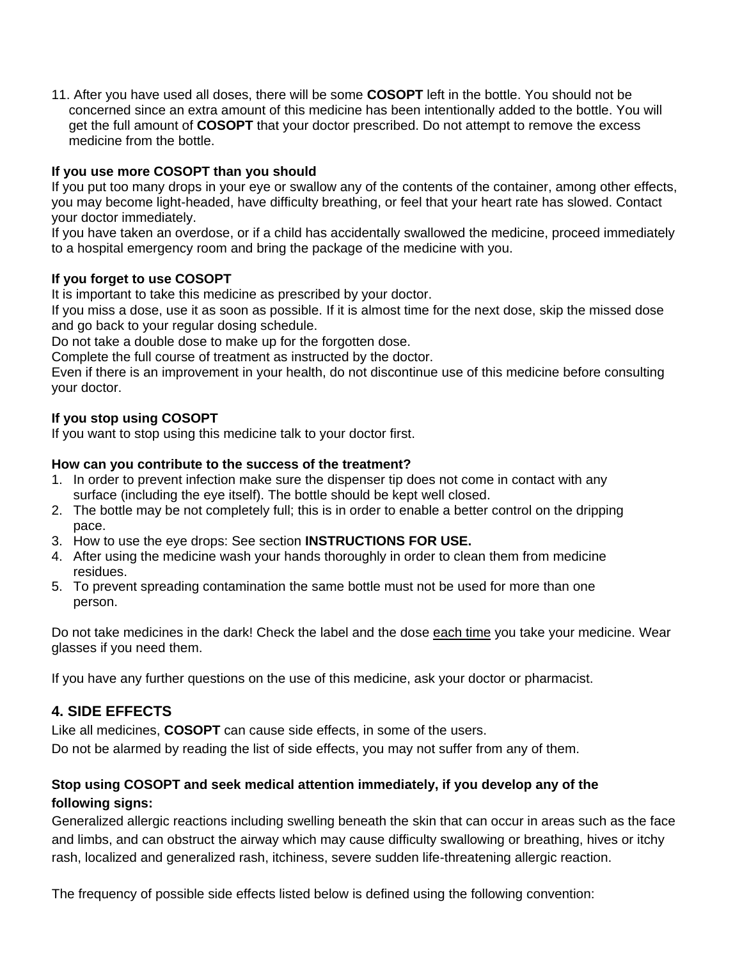11. After you have used all doses, there will be some **COSOPT** left in the bottle. You should not be concerned since an extra amount of this medicine has been intentionally added to the bottle. You will get the full amount of **COSOPT** that your doctor prescribed. Do not attempt to remove the excess medicine from the bottle.

## **If you use more COSOPT than you should**

If you put too many drops in your eye or swallow any of the contents of the container, among other effects, you may become light-headed, have difficulty breathing, or feel that your heart rate has slowed. Contact your doctor immediately.

If you have taken an overdose, or if a child has accidentally swallowed the medicine, proceed immediately to a hospital emergency room and bring the package of the medicine with you.

#### **If you forget to use COSOPT**

It is important to take this medicine as prescribed by your doctor.

If you miss a dose, use it as soon as possible. If it is almost time for the next dose, skip the missed dose and go back to your regular dosing schedule.

Do not take a double dose to make up for the forgotten dose.

Complete the full course of treatment as instructed by the doctor.

Even if there is an improvement in your health, do not discontinue use of this medicine before consulting your doctor.

## **If you stop using COSOPT**

If you want to stop using this medicine talk to your doctor first.

#### **How can you contribute to the success of the treatment?**

- 1. In order to prevent infection make sure the dispenser tip does not come in contact with any surface (including the eye itself). The bottle should be kept well closed.
- 2. The bottle may be not completely full; this is in order to enable a better control on the dripping pace.
- 3. How to use the eye drops: See section **INSTRUCTIONS FOR USE.**
- 4. After using the medicine wash your hands thoroughly in order to clean them from medicine residues.
- 5. To prevent spreading contamination the same bottle must not be used for more than one person.

Do not take medicines in the dark! Check the label and the dose each time you take your medicine. Wear glasses if you need them.

If you have any further questions on the use of this medicine, ask your doctor or pharmacist.

# **4. SIDE EFFECTS**

Like all medicines, **COSOPT** can cause side effects, in some of the users. Do not be alarmed by reading the list of side effects, you may not suffer from any of them.

# **Stop using COSOPT and seek medical attention immediately, if you develop any of the following signs:**

Generalized allergic reactions including swelling beneath the skin that can occur in areas such as the face and limbs, and can obstruct the airway which may cause difficulty swallowing or breathing, hives or itchy rash, localized and generalized rash, itchiness, severe sudden life-threatening allergic reaction.

The frequency of possible side effects listed below is defined using the following convention: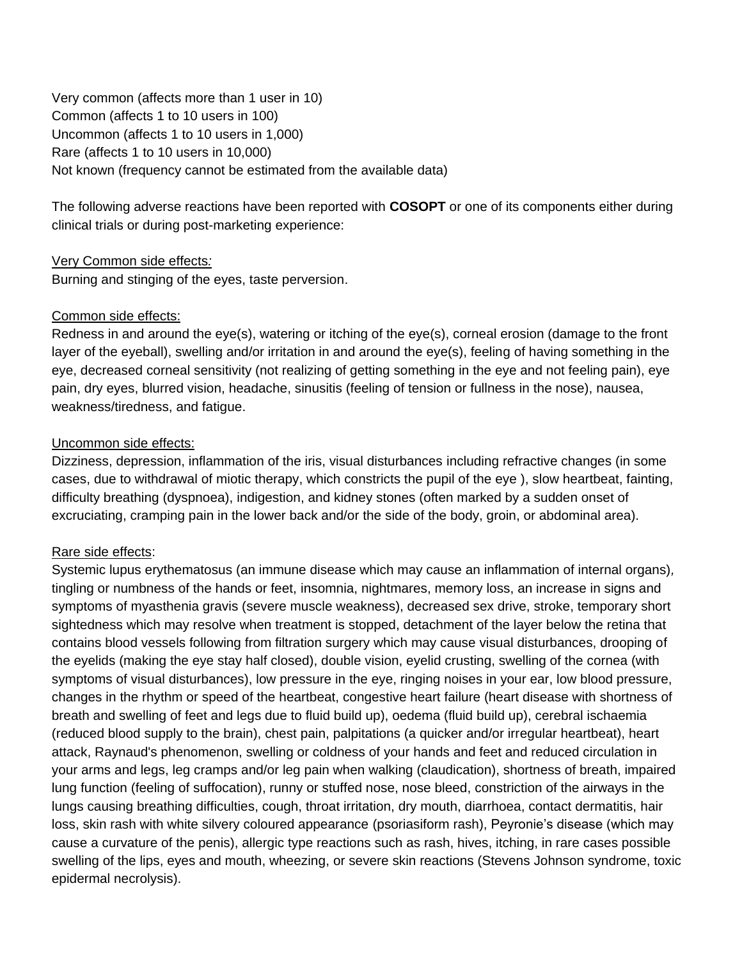Very common (affects more than 1 user in 10) Common (affects 1 to 10 users in 100) Uncommon (affects 1 to 10 users in 1,000) Rare (affects 1 to 10 users in 10,000) Not known (frequency cannot be estimated from the available data)

The following adverse reactions have been reported with **COSOPT** or one of its components either during clinical trials or during post-marketing experience:

#### Very Common side effects*:*

Burning and stinging of the eyes, taste perversion.

## Common side effects:

Redness in and around the eye(s), watering or itching of the eye(s), corneal erosion (damage to the front layer of the eyeball), swelling and/or irritation in and around the eye(s), feeling of having something in the eye, decreased corneal sensitivity (not realizing of getting something in the eye and not feeling pain), eye pain, dry eyes, blurred vision, headache, sinusitis (feeling of tension or fullness in the nose), nausea, weakness/tiredness, and fatigue.

## Uncommon side effects:

Dizziness, depression, inflammation of the iris, visual disturbances including refractive changes (in some cases, due to withdrawal of miotic therapy, which constricts the pupil of the eye ), slow heartbeat, fainting, difficulty breathing (dyspnoea), indigestion, and kidney stones (often marked by a sudden onset of excruciating, cramping pain in the lower back and/or the side of the body, groin, or abdominal area).

#### Rare side effects:

Systemic lupus erythematosus (an immune disease which may cause an inflammation of internal organs)*,*  tingling or numbness of the hands or feet, insomnia, nightmares, memory loss, an increase in signs and symptoms of myasthenia gravis (severe muscle weakness), decreased sex drive, stroke, temporary short sightedness which may resolve when treatment is stopped, detachment of the layer below the retina that contains blood vessels following from filtration surgery which may cause visual disturbances, drooping of the eyelids (making the eye stay half closed), double vision, eyelid crusting, swelling of the cornea (with symptoms of visual disturbances), low pressure in the eye, ringing noises in your ear, low blood pressure, changes in the rhythm or speed of the heartbeat, congestive heart failure (heart disease with shortness of breath and swelling of feet and legs due to fluid build up), oedema (fluid build up), cerebral ischaemia (reduced blood supply to the brain), chest pain, palpitations (a quicker and/or irregular heartbeat), heart attack, Raynaud's phenomenon, swelling or coldness of your hands and feet and reduced circulation in your arms and legs, leg cramps and/or leg pain when walking (claudication), shortness of breath, impaired lung function (feeling of suffocation), runny or stuffed nose, nose bleed, constriction of the airways in the lungs causing breathing difficulties, cough, throat irritation, dry mouth, diarrhoea, contact dermatitis, hair loss, skin rash with white silvery coloured appearance (psoriasiform rash), Peyronie's disease (which may cause a curvature of the penis), allergic type reactions such as rash, hives, itching, in rare cases possible swelling of the lips, eyes and mouth, wheezing, or severe skin reactions (Stevens Johnson syndrome, toxic epidermal necrolysis).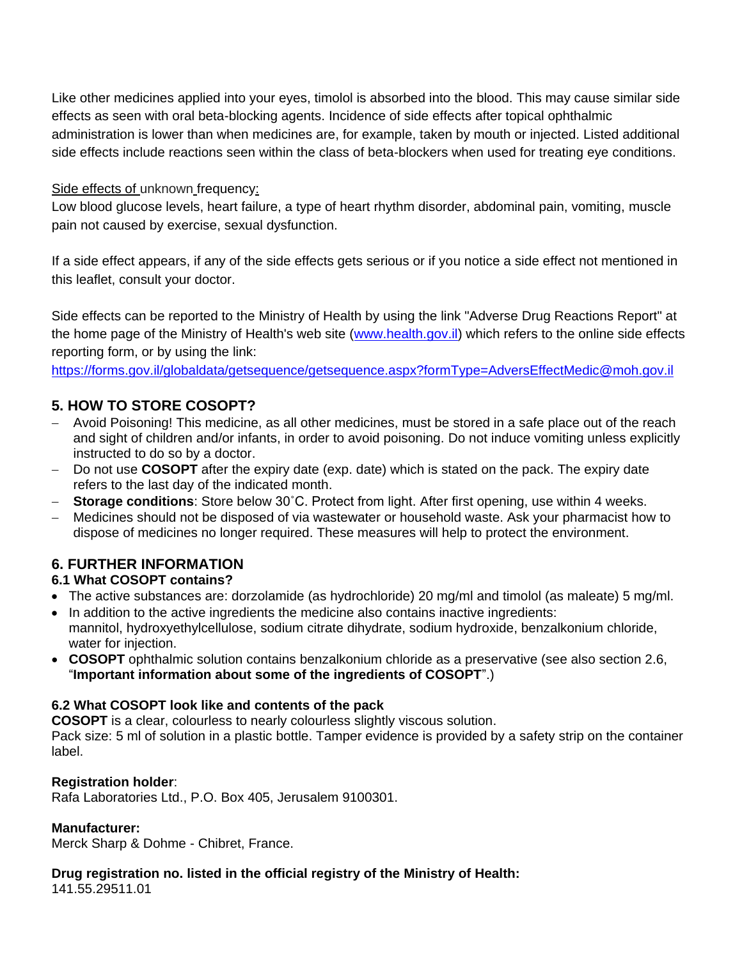Like other medicines applied into your eyes, timolol is absorbed into the blood. This may cause similar side effects as seen with oral beta-blocking agents. Incidence of side effects after topical ophthalmic administration is lower than when medicines are, for example, taken by mouth or injected. Listed additional side effects include reactions seen within the class of beta-blockers when used for treating eye conditions.

## Side effects of unknown frequency:

Low blood glucose levels, heart failure, a type of heart rhythm disorder, abdominal pain, vomiting, muscle pain not caused by exercise, sexual dysfunction.

If a side effect appears, if any of the side effects gets serious or if you notice a side effect not mentioned in this leaflet, consult your doctor.

Side effects can be reported to the Ministry of Health by using the link "Adverse Drug Reactions Report" at the home page of the Ministry of Health's web site [\(www.health.gov.il\)](http://www.health.gov.il/) which refers to the online side effects reporting form, or by using the link:

<https://forms.gov.il/globaldata/getsequence/getsequence.aspx?formType=AdversEffectMedic@moh.gov.il>

# **5. HOW TO STORE COSOPT?**

- Avoid Poisoning! This medicine, as all other medicines, must be stored in a safe place out of the reach and sight of children and/or infants, in order to avoid poisoning. Do not induce vomiting unless explicitly instructed to do so by a doctor.
- Do not use **COSOPT** after the expiry date (exp. date) which is stated on the pack. The expiry date refers to the last day of the indicated month.
- **Storage conditions**: Store below 30˚C. Protect from light. After first opening, use within 4 weeks.
- Medicines should not be disposed of via wastewater or household waste. Ask your pharmacist how to dispose of medicines no longer required. These measures will help to protect the environment.

# **6. FURTHER INFORMATION**

#### **6.1 What COSOPT contains?**

- The active substances are: dorzolamide (as hydrochloride) 20 mg/ml and timolol (as maleate) 5 mg/ml.
- In addition to the active ingredients the medicine also contains inactive ingredients: mannitol, hydroxyethylcellulose, sodium citrate dihydrate, sodium hydroxide, benzalkonium chloride, water for injection.
- **COSOPT** ophthalmic solution contains benzalkonium chloride as a preservative (see also section 2.6, "**Important information about some of the ingredients of COSOPT**".)

#### **6.2 What COSOPT look like and contents of the pack**

**COSOPT** is a clear, colourless to nearly colourless slightly viscous solution.

Pack size: 5 ml of solution in a plastic bottle. Tamper evidence is provided by a safety strip on the container label.

#### **Registration holder**:

Rafa Laboratories Ltd., P.O. Box 405, Jerusalem 9100301.

#### **Manufacturer:**

Merck Sharp & Dohme - Chibret, France.

#### **Drug registration no. listed in the official registry of the Ministry of Health:**

141.55.29511.01